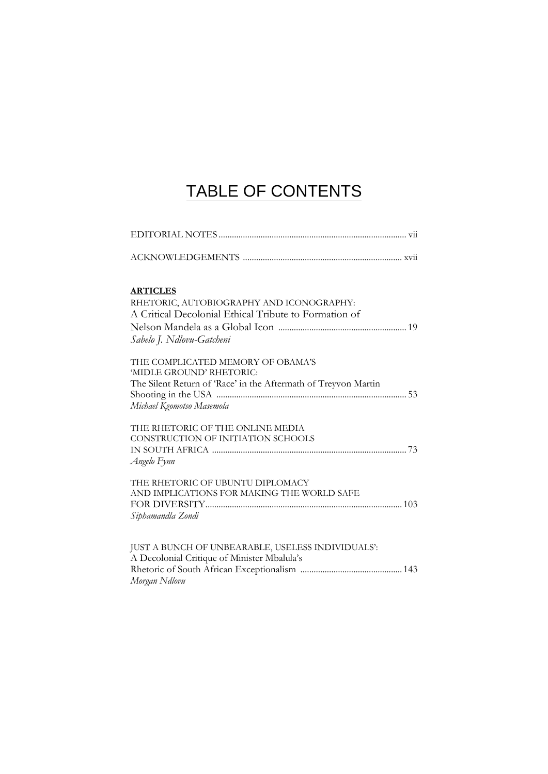## TABLE OF CONTENTS

| <b>ARTICLES</b>                                                                                   |
|---------------------------------------------------------------------------------------------------|
| RHETORIC, AUTOBIOGRAPHY AND ICONOGRAPHY:<br>A Critical Decolonial Ethical Tribute to Formation of |
| Sabelo J. Ndlovu-Gatcheni                                                                         |
| THE COMPLICATED MEMORY OF OBAMA'S<br>'MIDLE GROUND' RHETORIC:                                     |
| The Silent Return of 'Race' in the Aftermath of Treyvon Martin<br>Michael Kgomotso Masemola       |
| THE RHETORIC OF THE ONLINE MEDIA<br>CONSTRUCTION OF INITIATION SCHOOLS                            |
| Angelo Fynn                                                                                       |
| THE RHETORIC OF UBUNTU DIPLOMACY                                                                  |
| AND IMPLICATIONS FOR MAKING THE WORLD SAFE                                                        |
| Siphamandla Zondi                                                                                 |
| JUST A BUNCH OF UNBEARABLE, USELESS INDIVIDUALS':                                                 |
| A Decolonial Critique of Minister Mbalula's                                                       |
| Morgan Ndlovu                                                                                     |